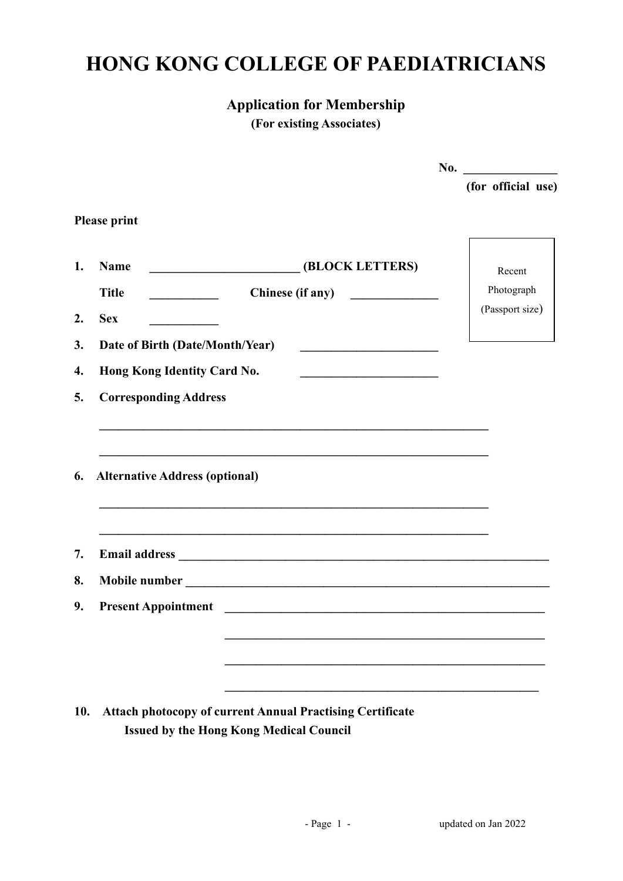## **HONG KONG COLLEGE OF PAEDIATRICIANS**

## **Application for Membership**

**(For existing Associates)**

|     |                                                                                                                                                           | No. $\qquad \qquad$ |
|-----|-----------------------------------------------------------------------------------------------------------------------------------------------------------|---------------------|
|     |                                                                                                                                                           | (for official use)  |
|     | <b>Please print</b>                                                                                                                                       |                     |
| 1.  | <b>EXECUTE:</b> (BLOCK LETTERS)<br><b>Name</b>                                                                                                            | Recent              |
|     | <b>Title</b><br>Chinese (if any)<br><u> 1990 - Jan Barbara Barat III, marka Barbara Barbara Barbara Barbara Barbara Barbara Barbara Barbara Barbara B</u> | Photograph          |
| 2.  | <b>Sex</b>                                                                                                                                                | (Passport size)     |
| 3.  | Date of Birth (Date/Month/Year)                                                                                                                           |                     |
| 4.  | Hong Kong Identity Card No.<br><u> 1989 - Johann Barbara, martin amerikan basar dan basa dan basar dalam basa dalam basa dalam basa dalam basa </u>       |                     |
| 5.  | <b>Corresponding Address</b>                                                                                                                              |                     |
|     |                                                                                                                                                           |                     |
| 6.  | <b>Alternative Address (optional)</b>                                                                                                                     |                     |
|     | ,我们也不会有什么。""我们的人,我们也不会有什么?""我们的人,我们也不会有什么?""我们的人,我们也不会有什么?""我们的人,我们也不会有什么?""我们的人                                                                          |                     |
| 7.  |                                                                                                                                                           |                     |
| 8.  |                                                                                                                                                           |                     |
| 9.  |                                                                                                                                                           |                     |
|     |                                                                                                                                                           |                     |
|     |                                                                                                                                                           |                     |
|     |                                                                                                                                                           |                     |
| 10. | <b>Attach photocopy of current Annual Practising Certificate</b><br><b>Issued by the Hong Kong Medical Council</b>                                        |                     |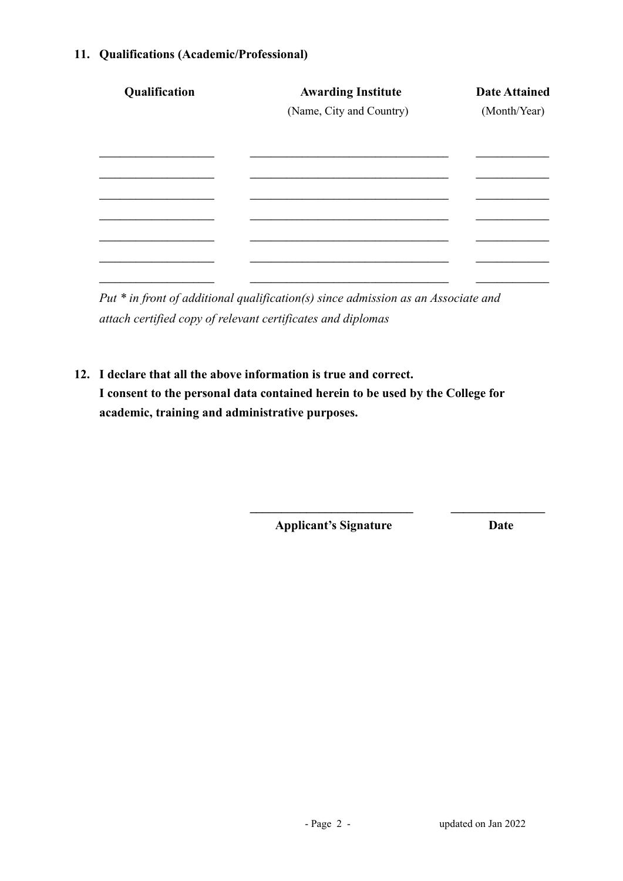## **11. Qualifications (Academic/Professional)**

| <b>Awarding Institute</b><br>(Name, City and Country) | <b>Date Attained</b><br>(Month/Year) |
|-------------------------------------------------------|--------------------------------------|
|                                                       |                                      |
|                                                       |                                      |
|                                                       |                                      |
|                                                       |                                      |
|                                                       |                                      |
|                                                       |                                      |
|                                                       |                                      |

*Put \* in front of additional qualification(s) since admission as an Associate and attach certified copy of relevant certificates and diplomas*

**12. I declare that all the above information is true and correct. I consent to the personal data contained herein to be used by the College for academic, training and administrative purposes.**

**Applicant's Signature Date**

**\_\_\_\_\_\_\_\_\_\_\_\_\_\_\_\_\_\_\_\_\_\_\_\_\_\_ \_\_\_\_\_\_\_\_\_\_\_\_\_\_\_**